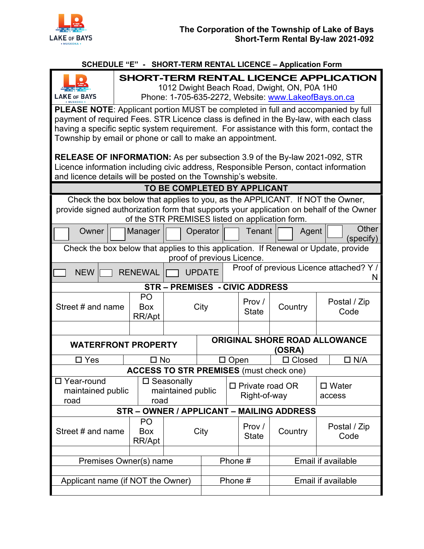

## **SCHEDULE "E" - SHORT-TERM RENTAL LICENCE – Application Form**

|                                                                                                                                                                           |                                                                                                                                              |                           |                      |                                                |  | $\overline{ }$ i eivil iven i $\overline{ }$ e eivenve |                           |                      |  |  |  |
|---------------------------------------------------------------------------------------------------------------------------------------------------------------------------|----------------------------------------------------------------------------------------------------------------------------------------------|---------------------------|----------------------|------------------------------------------------|--|--------------------------------------------------------|---------------------------|----------------------|--|--|--|
| <b>LAKE or BAYS</b>                                                                                                                                                       | SHORT-TERM RENTAL LICENCE APPLICATION<br>1012 Dwight Beach Road, Dwight, ON, P0A 1H0<br>Phone: 1-705-635-2272, Website: www.LakeofBays.on.ca |                           |                      |                                                |  |                                                        |                           |                      |  |  |  |
|                                                                                                                                                                           |                                                                                                                                              |                           |                      |                                                |  |                                                        |                           |                      |  |  |  |
| PLEASE NOTE: Applicant portion MUST be completed in full and accompanied by full<br>payment of required Fees. STR Licence class is defined in the By-law, with each class |                                                                                                                                              |                           |                      |                                                |  |                                                        |                           |                      |  |  |  |
| having a specific septic system requirement. For assistance with this form, contact the                                                                                   |                                                                                                                                              |                           |                      |                                                |  |                                                        |                           |                      |  |  |  |
| Township by email or phone or call to make an appointment.                                                                                                                |                                                                                                                                              |                           |                      |                                                |  |                                                        |                           |                      |  |  |  |
|                                                                                                                                                                           |                                                                                                                                              |                           |                      |                                                |  |                                                        |                           |                      |  |  |  |
| <b>RELEASE OF INFORMATION:</b> As per subsection 3.9 of the By-law 2021-092, STR                                                                                          |                                                                                                                                              |                           |                      |                                                |  |                                                        |                           |                      |  |  |  |
| Licence information including civic address, Responsible Person, contact information                                                                                      |                                                                                                                                              |                           |                      |                                                |  |                                                        |                           |                      |  |  |  |
|                                                                                                                                                                           | and licence details will be posted on the Township's website.                                                                                |                           |                      |                                                |  |                                                        |                           |                      |  |  |  |
|                                                                                                                                                                           |                                                                                                                                              |                           |                      |                                                |  |                                                        |                           |                      |  |  |  |
| TO BE COMPLETED BY APPLICANT                                                                                                                                              |                                                                                                                                              |                           |                      |                                                |  |                                                        |                           |                      |  |  |  |
| Check the box below that applies to you, as the APPLICANT. If NOT the Owner,                                                                                              |                                                                                                                                              |                           |                      |                                                |  |                                                        |                           |                      |  |  |  |
| provide signed authorization form that supports your application on behalf of the Owner                                                                                   |                                                                                                                                              |                           |                      |                                                |  |                                                        |                           |                      |  |  |  |
| of the STR PREMISES listed on application form.                                                                                                                           |                                                                                                                                              |                           |                      |                                                |  |                                                        |                           |                      |  |  |  |
| Owner                                                                                                                                                                     |                                                                                                                                              | Manager                   |                      | Operator                                       |  | Tenant                                                 | Agent                     | <b>Other</b>         |  |  |  |
| (specify)                                                                                                                                                                 |                                                                                                                                              |                           |                      |                                                |  |                                                        |                           |                      |  |  |  |
| Check the box below that applies to this application. If Renewal or Update, provide                                                                                       |                                                                                                                                              |                           |                      |                                                |  |                                                        |                           |                      |  |  |  |
| proof of previous Licence.                                                                                                                                                |                                                                                                                                              |                           |                      |                                                |  |                                                        |                           |                      |  |  |  |
| Proof of previous Licence attached? Y /<br><b>NEW</b><br><b>RENEWAL</b><br><b>UPDATE</b>                                                                                  |                                                                                                                                              |                           |                      |                                                |  |                                                        |                           | N                    |  |  |  |
| STR-PREMISES - CIVIC ADDRESS                                                                                                                                              |                                                                                                                                              |                           |                      |                                                |  |                                                        |                           |                      |  |  |  |
| Street # and name                                                                                                                                                         |                                                                                                                                              | P <sub>O</sub>            |                      | City                                           |  | Prov /<br><b>State</b>                                 |                           |                      |  |  |  |
|                                                                                                                                                                           |                                                                                                                                              | <b>Box</b><br>RR/Apt      |                      |                                                |  |                                                        | Country                   | Postal / Zip<br>Code |  |  |  |
|                                                                                                                                                                           |                                                                                                                                              |                           |                      |                                                |  |                                                        |                           |                      |  |  |  |
|                                                                                                                                                                           |                                                                                                                                              |                           |                      |                                                |  |                                                        |                           |                      |  |  |  |
|                                                                                                                                                                           |                                                                                                                                              |                           |                      |                                                |  |                                                        |                           |                      |  |  |  |
| <b>WATERFRONT PROPERTY</b>                                                                                                                                                |                                                                                                                                              |                           |                      | <b>ORIGINAL SHORE ROAD ALLOWANCE</b><br>(OSRA) |  |                                                        |                           |                      |  |  |  |
| $\square$ Yes                                                                                                                                                             |                                                                                                                                              | $\square$ No              |                      | $\Box$ N/A<br>$\Box$ Closed<br>$\Box$ Open     |  |                                                        |                           |                      |  |  |  |
| <b>ACCESS TO STR PREMISES (must check one)</b>                                                                                                                            |                                                                                                                                              |                           |                      |                                                |  |                                                        |                           |                      |  |  |  |
| □ Year-round                                                                                                                                                              |                                                                                                                                              |                           | $\square$ Seasonally |                                                |  |                                                        |                           |                      |  |  |  |
| maintained public<br>road                                                                                                                                                 |                                                                                                                                              | maintained public<br>road |                      |                                                |  | $\Box$ Private road OR                                 |                           | $\square$ Water      |  |  |  |
|                                                                                                                                                                           |                                                                                                                                              |                           |                      |                                                |  | Right-of-way                                           |                           | access               |  |  |  |
| STR - OWNER / APPLICANT - MAILING ADDRESS                                                                                                                                 |                                                                                                                                              |                           |                      |                                                |  |                                                        |                           |                      |  |  |  |
|                                                                                                                                                                           |                                                                                                                                              | P <sub>O</sub>            |                      |                                                |  |                                                        |                           |                      |  |  |  |
| Street # and name                                                                                                                                                         |                                                                                                                                              | Box                       |                      | City                                           |  | Prov /                                                 | Country                   | Postal / Zip         |  |  |  |
|                                                                                                                                                                           |                                                                                                                                              | RR/Apt                    |                      |                                                |  | <b>State</b>                                           |                           | Code                 |  |  |  |
|                                                                                                                                                                           |                                                                                                                                              |                           |                      |                                                |  |                                                        |                           |                      |  |  |  |
|                                                                                                                                                                           |                                                                                                                                              |                           | Phone #              |                                                |  |                                                        | <b>Email if available</b> |                      |  |  |  |
| Premises Owner(s) name                                                                                                                                                    |                                                                                                                                              |                           |                      |                                                |  |                                                        |                           |                      |  |  |  |
| Applicant name (if NOT the Owner)                                                                                                                                         |                                                                                                                                              |                           | Phone #              |                                                |  | Email if available                                     |                           |                      |  |  |  |
|                                                                                                                                                                           |                                                                                                                                              |                           |                      |                                                |  |                                                        |                           |                      |  |  |  |
|                                                                                                                                                                           |                                                                                                                                              |                           |                      |                                                |  |                                                        |                           |                      |  |  |  |